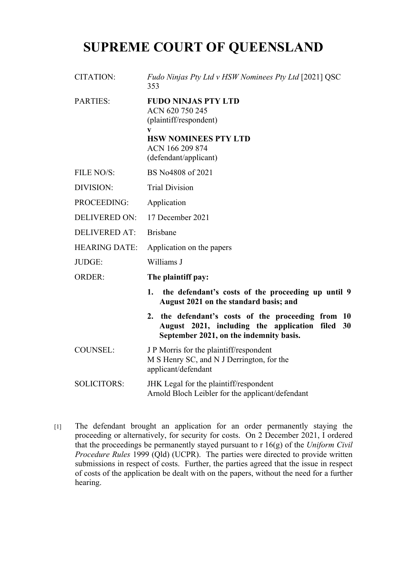## **SUPREME COURT OF QUEENSLAND**

- CITATION: *Fudo Ninjas Pty Ltd v HSW Nominees Pty Ltd* [2021] QSC 353 PARTIES: **FUDO NINJAS PTY LTD** ACN 620 750 245 (plaintiff/respondent) **v HSW NOMINEES PTY LTD** ACN 166 209 874 (defendant/applicant) FILE NO/S: BS No4808 of 2021 DIVISION: Trial Division PROCEEDING: Application DELIVERED ON: 17 December 2021 DELIVERED AT: Brisbane HEARING DATE: Application on the papers JUDGE: Williams J ORDER: **The plaintiff pay: 1. the defendant's costs of the proceeding up until 9 August 2021 on the standard basis; and 2. the defendant's costs of the proceeding from 10 August 2021, including the application filed 30 September 2021, on the indemnity basis.**
- COUNSEL: J P Morris for the plaintiff/respondent M S Henry SC, and N J Derrington, for the applicant/defendant

[1] The defendant brought an application for an order permanently staying the proceeding or alternatively, for security for costs. On 2 December 2021, I ordered that the proceedings be permanently stayed pursuant to r 16(g) of the *Uniform Civil Procedure Rules* 1999 (Qld) (UCPR). The parties were directed to provide written submissions in respect of costs. Further, the parties agreed that the issue in respect of costs of the application be dealt with on the papers, without the need for a further hearing.

SOLICITORS: JHK Legal for the plaintiff/respondent Arnold Bloch Leibler for the applicant/defendant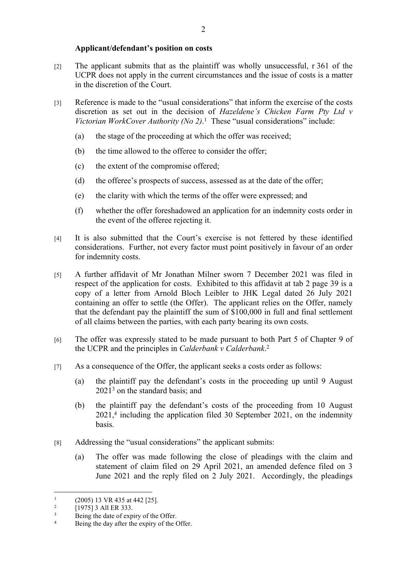## **Applicant/defendant's position on costs**

- [2] The applicant submits that as the plaintiff was wholly unsuccessful, r 361 of the UCPR does not apply in the current circumstances and the issue of costs is a matter in the discretion of the Court.
- [3] Reference is made to the "usual considerations" that inform the exercise of the costs discretion as set out in the decision of *Hazeldene's Chicken Farm Pty Ltd v Victorian WorkCover Authority (No 2)*. 1 These "usual considerations" include:
	- (a) the stage of the proceeding at which the offer was received;
	- (b) the time allowed to the offeree to consider the offer;
	- (c) the extent of the compromise offered;
	- (d) the offeree's prospects of success, assessed as at the date of the offer;
	- (e) the clarity with which the terms of the offer were expressed; and
	- (f) whether the offer foreshadowed an application for an indemnity costs order in the event of the offeree rejecting it.
- [4] It is also submitted that the Court's exercise is not fettered by these identified considerations. Further, not every factor must point positively in favour of an order for indemnity costs.
- [5] A further affidavit of Mr Jonathan Milner sworn 7 December 2021 was filed in respect of the application for costs. Exhibited to this affidavit at tab 2 page 39 is a copy of a letter from Arnold Bloch Leibler to JHK Legal dated 26 July 2021 containing an offer to settle (the Offer). The applicant relies on the Offer, namely that the defendant pay the plaintiff the sum of \$100,000 in full and final settlement of all claims between the parties, with each party bearing its own costs.
- [6] The offer was expressly stated to be made pursuant to both Part 5 of Chapter 9 of the UCPR and the principles in *Calderbank v Calderbank*. 2
- [7] As a consequence of the Offer, the applicant seeks a costs order as follows:
	- (a) the plaintiff pay the defendant's costs in the proceeding up until 9 August  $2021<sup>3</sup>$  on the standard basis; and
	- (b) the plaintiff pay the defendant's costs of the proceeding from 10 August 2021,<sup>4</sup> including the application filed 30 September 2021, on the indemnity basis.
- [8] Addressing the "usual considerations" the applicant submits:
	- (a) The offer was made following the close of pleadings with the claim and statement of claim filed on 29 April 2021, an amended defence filed on 3 June 2021 and the reply filed on 2 July 2021. Accordingly, the pleadings

<sup>1</sup> (2005) 13 VR 435 at 442 [25].

<sup>2</sup> [1975] 3 All ER 333.

<sup>3</sup> Being the date of expiry of the Offer.

<sup>4</sup> Being the day after the expiry of the Offer.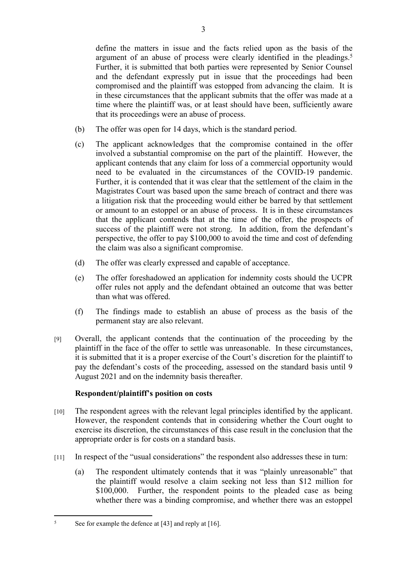define the matters in issue and the facts relied upon as the basis of the argument of an abuse of process were clearly identified in the pleadings.<sup>5</sup> Further, it is submitted that both parties were represented by Senior Counsel and the defendant expressly put in issue that the proceedings had been compromised and the plaintiff was estopped from advancing the claim. It is in these circumstances that the applicant submits that the offer was made at a time where the plaintiff was, or at least should have been, sufficiently aware that its proceedings were an abuse of process.

- (b) The offer was open for 14 days, which is the standard period.
- (c) The applicant acknowledges that the compromise contained in the offer involved a substantial compromise on the part of the plaintiff. However, the applicant contends that any claim for loss of a commercial opportunity would need to be evaluated in the circumstances of the COVID-19 pandemic. Further, it is contended that it was clear that the settlement of the claim in the Magistrates Court was based upon the same breach of contract and there was a litigation risk that the proceeding would either be barred by that settlement or amount to an estoppel or an abuse of process. It is in these circumstances that the applicant contends that at the time of the offer, the prospects of success of the plaintiff were not strong. In addition, from the defendant's perspective, the offer to pay \$100,000 to avoid the time and cost of defending the claim was also a significant compromise.
- (d) The offer was clearly expressed and capable of acceptance.
- (e) The offer foreshadowed an application for indemnity costs should the UCPR offer rules not apply and the defendant obtained an outcome that was better than what was offered.
- (f) The findings made to establish an abuse of process as the basis of the permanent stay are also relevant.
- [9] Overall, the applicant contends that the continuation of the proceeding by the plaintiff in the face of the offer to settle was unreasonable. In these circumstances, it is submitted that it is a proper exercise of the Court's discretion for the plaintiff to pay the defendant's costs of the proceeding, assessed on the standard basis until 9 August 2021 and on the indemnity basis thereafter.

## **Respondent/plaintiff's position on costs**

- [10] The respondent agrees with the relevant legal principles identified by the applicant. However, the respondent contends that in considering whether the Court ought to exercise its discretion, the circumstances of this case result in the conclusion that the appropriate order is for costs on a standard basis.
- [11] In respect of the "usual considerations" the respondent also addresses these in turn:
	- (a) The respondent ultimately contends that it was "plainly unreasonable" that the plaintiff would resolve a claim seeking not less than \$12 million for \$100,000. Further, the respondent points to the pleaded case as being whether there was a binding compromise, and whether there was an estoppel

<sup>5</sup> See for example the defence at [43] and reply at [16].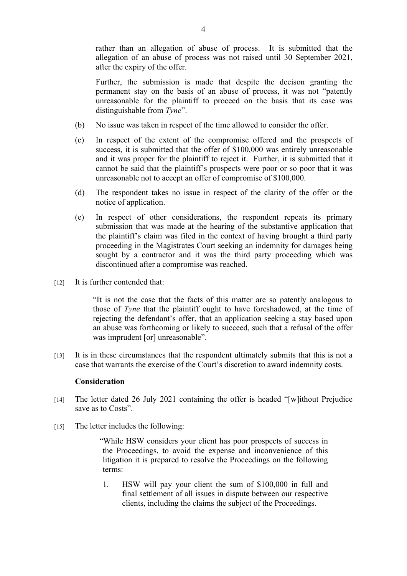rather than an allegation of abuse of process. It is submitted that the allegation of an abuse of process was not raised until 30 September 2021, after the expiry of the offer.

Further, the submission is made that despite the decison granting the permanent stay on the basis of an abuse of process, it was not "patently unreasonable for the plaintiff to proceed on the basis that its case was distinguishable from *Tyne*".

- (b) No issue was taken in respect of the time allowed to consider the offer.
- (c) In respect of the extent of the compromise offered and the prospects of success, it is submitted that the offer of \$100,000 was entirely unreasonable and it was proper for the plaintiff to reject it. Further, it is submitted that it cannot be said that the plaintiff's prospects were poor or so poor that it was unreasonable not to accept an offer of compromise of \$100,000.
- (d) The respondent takes no issue in respect of the clarity of the offer or the notice of application.
- (e) In respect of other considerations, the respondent repeats its primary submission that was made at the hearing of the substantive application that the plaintiff's claim was filed in the context of having brought a third party proceeding in the Magistrates Court seeking an indemnity for damages being sought by a contractor and it was the third party proceeding which was discontinued after a compromise was reached.
- [12] It is further contended that:

"It is not the case that the facts of this matter are so patently analogous to those of *Tyne* that the plaintiff ought to have foreshadowed, at the time of rejecting the defendant's offer, that an application seeking a stay based upon an abuse was forthcoming or likely to succeed, such that a refusal of the offer was imprudent [or] unreasonable".

[13] It is in these circumstances that the respondent ultimately submits that this is not a case that warrants the exercise of the Court's discretion to award indemnity costs.

## **Consideration**

- [14] The letter dated 26 July 2021 containing the offer is headed "[w]ithout Prejudice save as to Costs".
- [15] The letter includes the following:

"While HSW considers your client has poor prospects of success in the Proceedings, to avoid the expense and inconvenience of this litigation it is prepared to resolve the Proceedings on the following terms:

1. HSW will pay your client the sum of \$100,000 in full and final settlement of all issues in dispute between our respective clients, including the claims the subject of the Proceedings.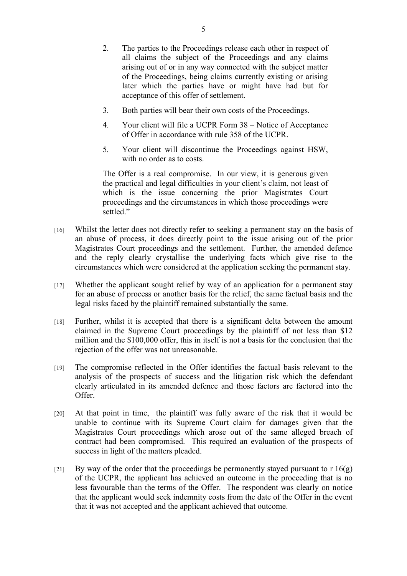- 2. The parties to the Proceedings release each other in respect of all claims the subject of the Proceedings and any claims arising out of or in any way connected with the subject matter of the Proceedings, being claims currently existing or arising later which the parties have or might have had but for acceptance of this offer of settlement.
- 3. Both parties will bear their own costs of the Proceedings.
- 4. Your client will file a UCPR Form 38 Notice of Acceptance of Offer in accordance with rule 358 of the UCPR.
- 5. Your client will discontinue the Proceedings against HSW, with no order as to costs.

The Offer is a real compromise. In our view, it is generous given the practical and legal difficulties in your client's claim, not least of which is the issue concerning the prior Magistrates Court proceedings and the circumstances in which those proceedings were settled."

- [16] Whilst the letter does not directly refer to seeking a permanent stay on the basis of an abuse of process, it does directly point to the issue arising out of the prior Magistrates Court proceedings and the settlement. Further, the amended defence and the reply clearly crystallise the underlying facts which give rise to the circumstances which were considered at the application seeking the permanent stay.
- [17] Whether the applicant sought relief by way of an application for a permanent stay for an abuse of process or another basis for the relief, the same factual basis and the legal risks faced by the plaintiff remained substantially the same.
- [18] Further, whilst it is accepted that there is a significant delta between the amount claimed in the Supreme Court proceedings by the plaintiff of not less than \$12 million and the \$100,000 offer, this in itself is not a basis for the conclusion that the rejection of the offer was not unreasonable.
- [19] The compromise reflected in the Offer identifies the factual basis relevant to the analysis of the prospects of success and the litigation risk which the defendant clearly articulated in its amended defence and those factors are factored into the Offer.
- [20] At that point in time, the plaintiff was fully aware of the risk that it would be unable to continue with its Supreme Court claim for damages given that the Magistrates Court proceedings which arose out of the same alleged breach of contract had been compromised. This required an evaluation of the prospects of success in light of the matters pleaded.
- [21] By way of the order that the proceedings be permanently stayed pursuant to r  $16(g)$ of the UCPR, the applicant has achieved an outcome in the proceeding that is no less favourable than the terms of the Offer. The respondent was clearly on notice that the applicant would seek indemnity costs from the date of the Offer in the event that it was not accepted and the applicant achieved that outcome.